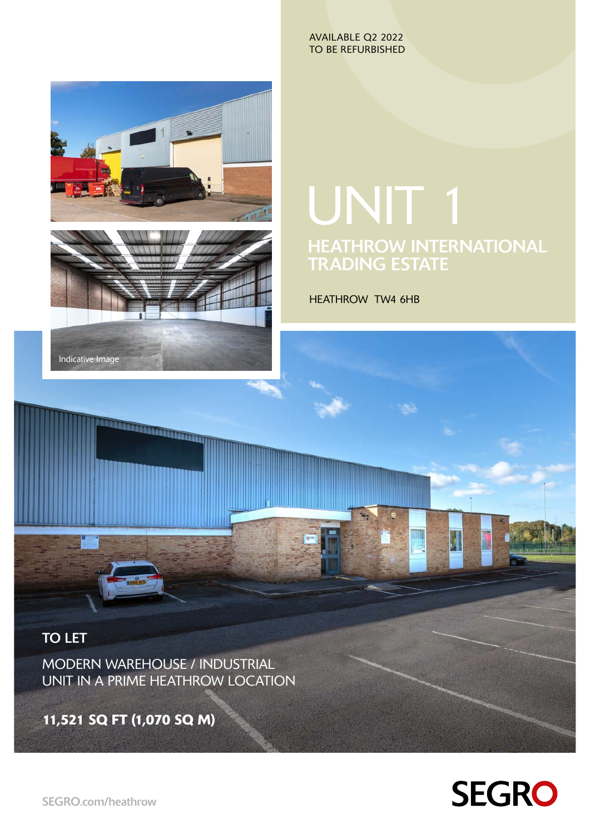AVAILABLE Q2 2022 TO BE REFURBISHED



**TECHNOLOGY** 

# UNIT 1 HEATHROW INTERNATIONAL TRADING ESTATE

HEATHROW TW4 6HB

## TO LET

MODERN WAREHOUSE / INDUSTRIAL UNIT IN A PRIME HEATHROW LOCATION

11,521 SQ FT (1,070 SQ M)